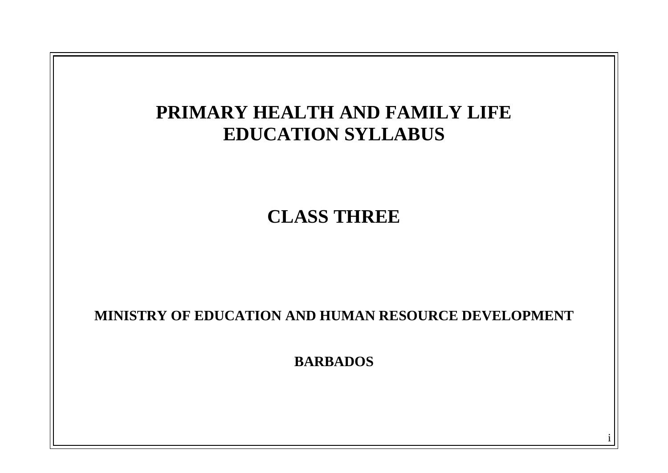

i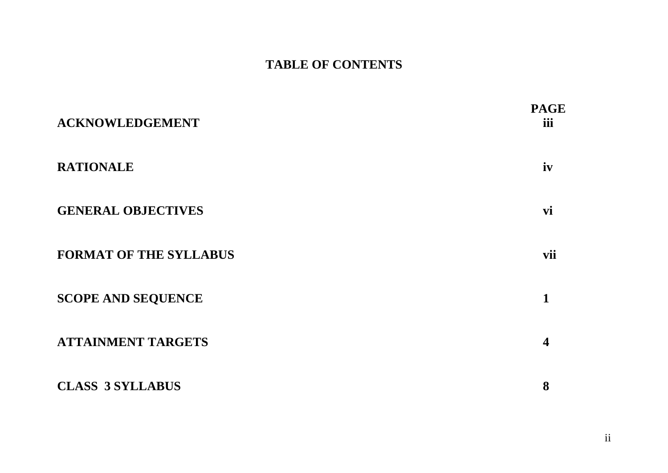# **TABLE OF CONTENTS**

| <b>ACKNOWLEDGEMENT</b>        | <b>PAGE</b><br>iii |
|-------------------------------|--------------------|
| <b>RATIONALE</b>              | iv                 |
| <b>GENERAL OBJECTIVES</b>     | vi                 |
| <b>FORMAT OF THE SYLLABUS</b> | vii                |
| <b>SCOPE AND SEQUENCE</b>     | 1                  |
| <b>ATTAINMENT TARGETS</b>     | 4                  |
| <b>CLASS 3 SYLLABUS</b>       | 8                  |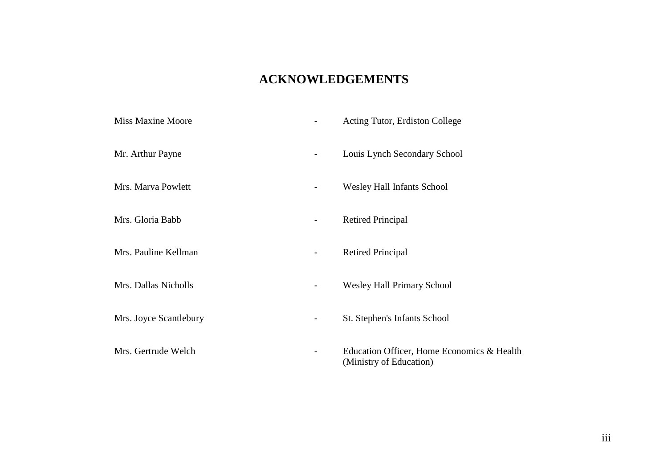### **ACKNOWLEDGEMENTS**

| <b>Miss Maxine Moore</b> |   | Acting Tutor, Erdiston College                                        |
|--------------------------|---|-----------------------------------------------------------------------|
| Mr. Arthur Payne         |   | Louis Lynch Secondary School                                          |
| Mrs. Marva Powlett       | - | <b>Wesley Hall Infants School</b>                                     |
| Mrs. Gloria Babb         |   | <b>Retired Principal</b>                                              |
| Mrs. Pauline Kellman     |   | <b>Retired Principal</b>                                              |
| Mrs. Dallas Nicholls     | - | <b>Wesley Hall Primary School</b>                                     |
| Mrs. Joyce Scantlebury   |   | St. Stephen's Infants School                                          |
| Mrs. Gertrude Welch      |   | Education Officer, Home Economics & Health<br>(Ministry of Education) |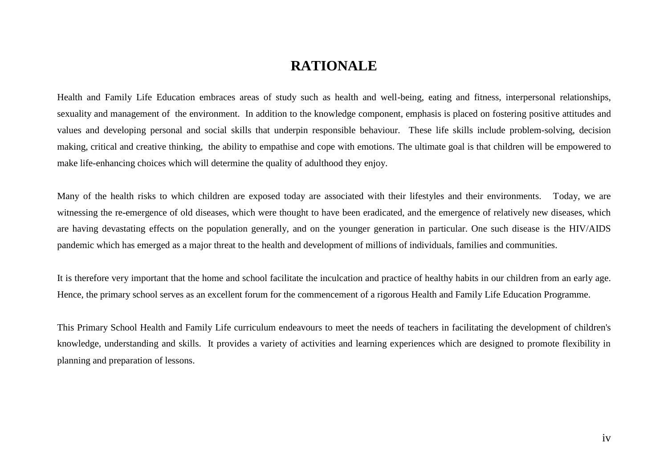### **RATIONALE**

Health and Family Life Education embraces areas of study such as health and well-being, eating and fitness, interpersonal relationships, sexuality and management of the environment. In addition to the knowledge component, emphasis is placed on fostering positive attitudes and values and developing personal and social skills that underpin responsible behaviour. These life skills include problem-solving, decision making, critical and creative thinking, the ability to empathise and cope with emotions. The ultimate goal is that children will be empowered to make life-enhancing choices which will determine the quality of adulthood they enjoy.

Many of the health risks to which children are exposed today are associated with their lifestyles and their environments. Today, we are witnessing the re-emergence of old diseases, which were thought to have been eradicated, and the emergence of relatively new diseases, which are having devastating effects on the population generally, and on the younger generation in particular. One such disease is the HIV/AIDS pandemic which has emerged as a major threat to the health and development of millions of individuals, families and communities.

It is therefore very important that the home and school facilitate the inculcation and practice of healthy habits in our children from an early age. Hence, the primary school serves as an excellent forum for the commencement of a rigorous Health and Family Life Education Programme.

This Primary School Health and Family Life curriculum endeavours to meet the needs of teachers in facilitating the development of children's knowledge, understanding and skills. It provides a variety of activities and learning experiences which are designed to promote flexibility in planning and preparation of lessons.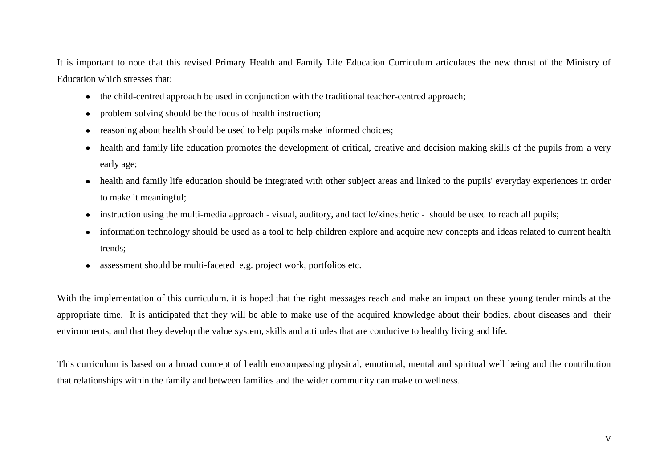It is important to note that this revised Primary Health and Family Life Education Curriculum articulates the new thrust of the Ministry of Education which stresses that:

- the child-centred approach be used in conjunction with the traditional teacher-centred approach;
- problem-solving should be the focus of health instruction;  $\bullet$
- reasoning about health should be used to help pupils make informed choices;  $\bullet$
- health and family life education promotes the development of critical, creative and decision making skills of the pupils from a very early age;
- health and family life education should be integrated with other subject areas and linked to the pupils' everyday experiences in order  $\bullet$ to make it meaningful;
- instruction using the multi-media approach visual, auditory, and tactile/kinesthetic should be used to reach all pupils;  $\bullet$
- information technology should be used as a tool to help children explore and acquire new concepts and ideas related to current health  $\bullet$ trends;
- assessment should be multi-faceted e.g. project work, portfolios etc.

With the implementation of this curriculum, it is hoped that the right messages reach and make an impact on these young tender minds at the appropriate time. It is anticipated that they will be able to make use of the acquired knowledge about their bodies, about diseases and their environments, and that they develop the value system, skills and attitudes that are conducive to healthy living and life.

This curriculum is based on a broad concept of health encompassing physical, emotional, mental and spiritual well being and the contribution that relationships within the family and between families and the wider community can make to wellness.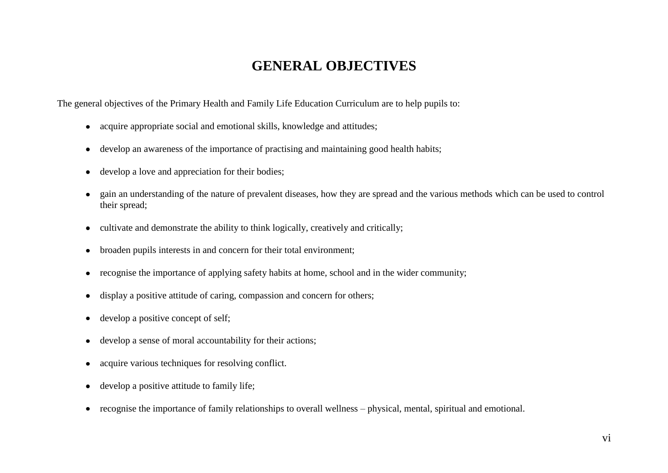## **GENERAL OBJECTIVES**

The general objectives of the Primary Health and Family Life Education Curriculum are to help pupils to:

- acquire appropriate social and emotional skills, knowledge and attitudes;
- develop an awareness of the importance of practising and maintaining good health habits;  $\bullet$
- develop a love and appreciation for their bodies;  $\bullet$
- gain an understanding of the nature of prevalent diseases, how they are spread and the various methods which can be used to control their spread;
- cultivate and demonstrate the ability to think logically, creatively and critically;  $\bullet$
- broaden pupils interests in and concern for their total environment;  $\bullet$
- recognise the importance of applying safety habits at home, school and in the wider community;  $\bullet$
- display a positive attitude of caring, compassion and concern for others;  $\bullet$
- develop a positive concept of self;  $\bullet$
- develop a sense of moral accountability for their actions;  $\bullet$
- acquire various techniques for resolving conflict.  $\bullet$
- develop a positive attitude to family life;  $\bullet$
- recognise the importance of family relationships to overall wellness physical, mental, spiritual and emotional.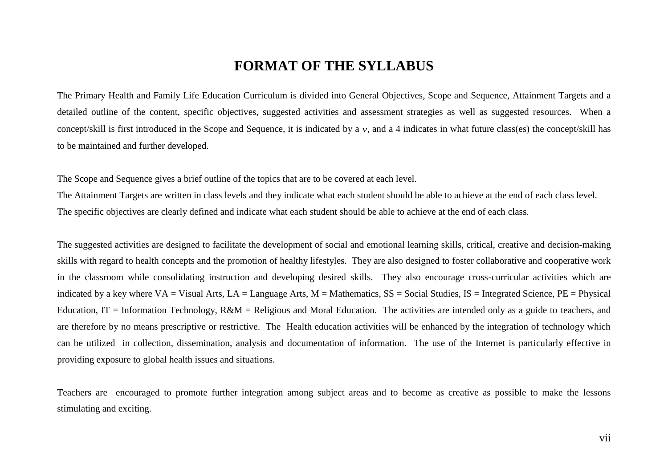### **FORMAT OF THE SYLLABUS**

The Primary Health and Family Life Education Curriculum is divided into General Objectives, Scope and Sequence, Attainment Targets and a detailed outline of the content, specific objectives, suggested activities and assessment strategies as well as suggested resources. When a concept/skill is first introduced in the Scope and Sequence, it is indicated by a  $\nu$ , and a 4 indicates in what future class(es) the concept/skill has to be maintained and further developed.

The Scope and Sequence gives a brief outline of the topics that are to be covered at each level.

The Attainment Targets are written in class levels and they indicate what each student should be able to achieve at the end of each class level. The specific objectives are clearly defined and indicate what each student should be able to achieve at the end of each class.

The suggested activities are designed to facilitate the development of social and emotional learning skills, critical, creative and decision-making skills with regard to health concepts and the promotion of healthy lifestyles. They are also designed to foster collaborative and cooperative work in the classroom while consolidating instruction and developing desired skills. They also encourage cross-curricular activities which are indicated by a key where  $VA = Visual Arts$ ,  $LA = Language Arts$ ,  $M = Mathematics$ ,  $SS = Social Studies$ ,  $IS = Integrated Science$ ,  $PE = Physical$ Education, IT = Information Technology,  $R\&M$  = Religious and Moral Education. The activities are intended only as a guide to teachers, and are therefore by no means prescriptive or restrictive. The Health education activities will be enhanced by the integration of technology which can be utilized in collection, dissemination, analysis and documentation of information. The use of the Internet is particularly effective in providing exposure to global health issues and situations.

Teachers are encouraged to promote further integration among subject areas and to become as creative as possible to make the lessons stimulating and exciting.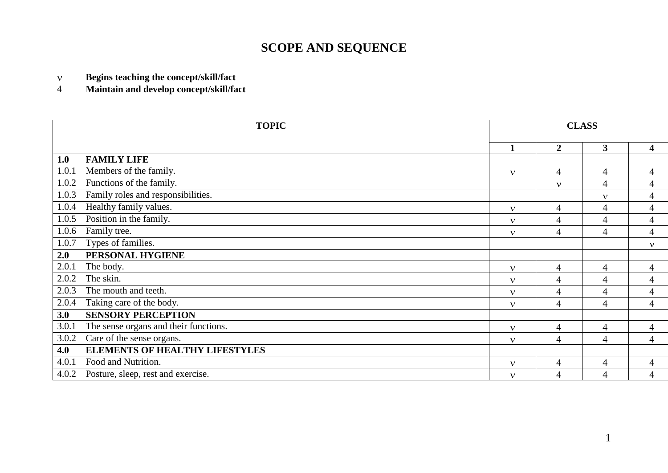# **SCOPE AND SEQUENCE**

**Begins teaching the concept/skill/fact**  $\bar{\mathbf{v}}$ 

**Maintain and develop concept/skill/fact**  $\overline{4}$ 

|       | <b>TOPIC</b>                          |              |                | <b>CLASS</b>   |                         |
|-------|---------------------------------------|--------------|----------------|----------------|-------------------------|
|       |                                       | 1            | $\overline{2}$ | 3              | $\overline{\mathbf{4}}$ |
| 1.0   | <b>FAMILY LIFE</b>                    |              |                |                |                         |
| 1.0.1 | Members of the family.                | $\mathbf{v}$ | 4              | $\overline{4}$ | $\overline{4}$          |
| 1.0.2 | Functions of the family.              |              | $\mathbf v$    | $\overline{4}$ | 4                       |
| 1.0.3 | Family roles and responsibilities.    |              |                | $\mathbf{v}$   | 4                       |
| 1.0.4 | Healthy family values.                | $\mathbf{v}$ | 4              | 4              | 4                       |
| 1.0.5 | Position in the family.               | $\mathbf{v}$ | 4              | $\overline{4}$ | 4                       |
| 1.0.6 | Family tree.                          | $\mathbf{v}$ | 4              | $\overline{4}$ | 4                       |
| 1.0.7 | Types of families.                    |              |                |                | $\mathbf{v}$            |
| 2.0   | PERSONAL HYGIENE                      |              |                |                |                         |
| 2.0.1 | The body.                             | $\mathbf{v}$ | 4              | $\overline{4}$ | 4                       |
| 2.0.2 | The skin.                             | $\mathbf{v}$ | 4              | $\overline{4}$ | 4                       |
| 2.0.3 | The mouth and teeth.                  | $\mathbf{v}$ | 4              | $\overline{4}$ | 4                       |
| 2.0.4 | Taking care of the body.              | $\mathbf v$  | 4              | $\overline{4}$ | 4                       |
| 3.0   | <b>SENSORY PERCEPTION</b>             |              |                |                |                         |
| 3.0.1 | The sense organs and their functions. | $\mathbf{v}$ | 4              | $\overline{4}$ | $\overline{4}$          |
| 3.0.2 | Care of the sense organs.             | $\mathbf{v}$ | 4              | $\overline{4}$ | $\overline{4}$          |
| 4.0   | <b>ELEMENTS OF HEALTHY LIFESTYLES</b> |              |                |                |                         |
| 4.0.1 | Food and Nutrition.                   | $\mathbf{v}$ | 4              | $\overline{4}$ | 4                       |
| 4.0.2 | Posture, sleep, rest and exercise.    | $\mathbf{v}$ | 4              | $\overline{4}$ | 4                       |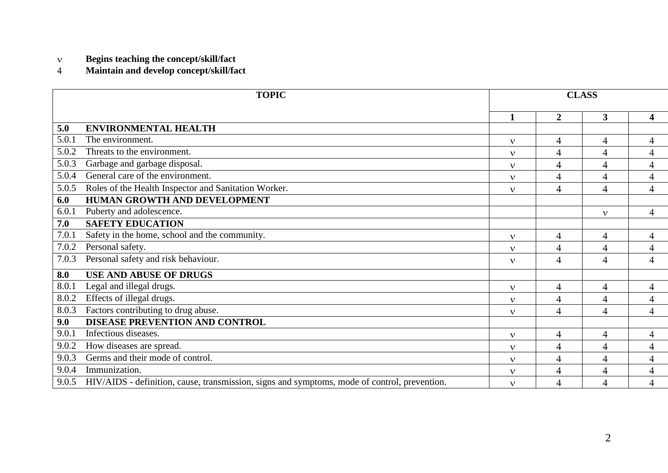#### $\mathbf{v}$ **Begins teaching the concept/skill/fact**

#### $\overline{4}$ **Maintain and develop concept/skill/fact**

|       | <b>TOPIC</b>                                                                                 |              |                          | <b>CLASS</b>   |                          |
|-------|----------------------------------------------------------------------------------------------|--------------|--------------------------|----------------|--------------------------|
|       |                                                                                              | 1            | $\overline{2}$           | 3 <sup>1</sup> | 4                        |
| 5.0   | <b>ENVIRONMENTAL HEALTH</b>                                                                  |              |                          |                |                          |
| 5.0.1 | The environment.                                                                             | $\mathbf{v}$ | $\overline{4}$           | 4              | $\overline{4}$           |
| 5.0.2 | Threats to the environment.                                                                  | $\mathbf{v}$ | $\overline{4}$           | 4              | $\overline{4}$           |
| 5.0.3 | Garbage and garbage disposal.                                                                | $\mathbf{v}$ | $\overline{4}$           | 4              | 4                        |
| 5.0.4 | General care of the environment.                                                             | $\mathbf{v}$ | $\overline{4}$           | 4              | $\overline{4}$           |
| 5.0.5 | Roles of the Health Inspector and Sanitation Worker.                                         | $\mathbf{v}$ | $\overline{4}$           | 4              | $\overline{4}$           |
| 6.0   | HUMAN GROWTH AND DEVELOPMENT                                                                 |              |                          |                |                          |
| 6.0.1 | Puberty and adolescence.                                                                     |              |                          | $\mathbf{v}$   | $\overline{4}$           |
| 7.0   | <b>SAFETY EDUCATION</b>                                                                      |              |                          |                |                          |
| 7.0.1 | Safety in the home, school and the community.                                                | $\mathbf{v}$ | $\overline{\mathcal{A}}$ | 4              | $\overline{\mathcal{A}}$ |
| 7.0.2 | Personal safety.                                                                             | $\mathbf{v}$ | $\overline{4}$           | $\overline{4}$ | $\overline{4}$           |
| 7.0.3 | Personal safety and risk behaviour.                                                          | $\mathbf{v}$ | 4                        | 4              | 4                        |
| 8.0   | <b>USE AND ABUSE OF DRUGS</b>                                                                |              |                          |                |                          |
| 8.0.1 | Legal and illegal drugs.                                                                     | $\mathbf{v}$ | $\overline{4}$           | $\overline{4}$ | $\overline{4}$           |
| 8.0.2 | Effects of illegal drugs.                                                                    | $\mathbf{v}$ | $\overline{4}$           | 4              | $\overline{4}$           |
| 8.0.3 | Factors contributing to drug abuse.                                                          | $\mathbf{v}$ | $\overline{4}$           | 4              | $\overline{4}$           |
| 9.0   | DISEASE PREVENTION AND CONTROL                                                               |              |                          |                |                          |
| 9.0.1 | Infectious diseases.                                                                         | $\mathbf{v}$ | $\overline{4}$           | 4              | $\overline{4}$           |
| 9.0.2 | How diseases are spread.                                                                     | $\mathbf{v}$ | 4                        | 4              | $\overline{4}$           |
| 9.0.3 | Germs and their mode of control.                                                             | $\mathbf{v}$ | $\overline{4}$           | 4              | $\overline{4}$           |
| 9.0.4 | Immunization.                                                                                | $\mathbf{v}$ | $\overline{4}$           | 4              | $\overline{4}$           |
| 9.0.5 | HIV/AIDS - definition, cause, transmission, signs and symptoms, mode of control, prevention. | $\mathbf{v}$ | $\overline{4}$           | 4              | 4                        |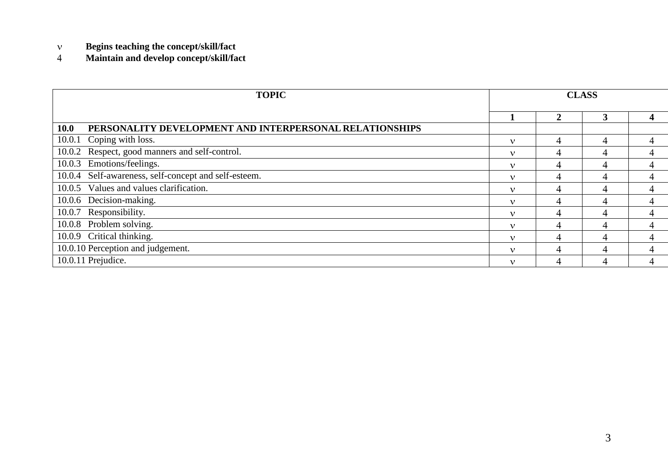- $\bar{\mathbf{v}}$ **Begins teaching the concept/skill/fact**
- $\overline{4}$ **Maintain and develop concept/skill/fact**

| <b>TOPIC</b>                                                           |              |              | <b>CLASS</b> |  |
|------------------------------------------------------------------------|--------------|--------------|--------------|--|
|                                                                        |              | $\mathbf{2}$ | 3            |  |
| PERSONALITY DEVELOPMENT AND INTERPERSONAL RELATIONSHIPS<br><b>10.0</b> |              |              |              |  |
| Coping with loss.<br>10.0.1                                            | $\mathbf v$  | 4            | 4            |  |
| Respect, good manners and self-control.<br>10.0.2                      | $\mathbf v$  | 4            | 4            |  |
| 10.0.3 Emotions/feelings.                                              | $\mathbf v$  | 4            | 4            |  |
| 10.0.4 Self-awareness, self-concept and self-esteem.                   | $\mathbf{v}$ | 4            | 4            |  |
| 10.0.5 Values and values clarification.                                | $\mathbf v$  | 4            | 4            |  |
| 10.0.6 Decision-making.                                                | $\mathbf v$  | 4            | 4            |  |
| 10.0.7 Responsibility.                                                 | $\mathbf v$  | 4            | 4            |  |
| 10.0.8 Problem solving.                                                | $\mathbf v$  | 4            | 4            |  |
| 10.0.9 Critical thinking.                                              | $\mathbf v$  | 4            | 4            |  |
| 10.0.10 Perception and judgement.                                      | $\mathbf{v}$ | 4            | 4            |  |
| 10.0.11 Prejudice.                                                     | $\mathbf v$  | 4            | 4            |  |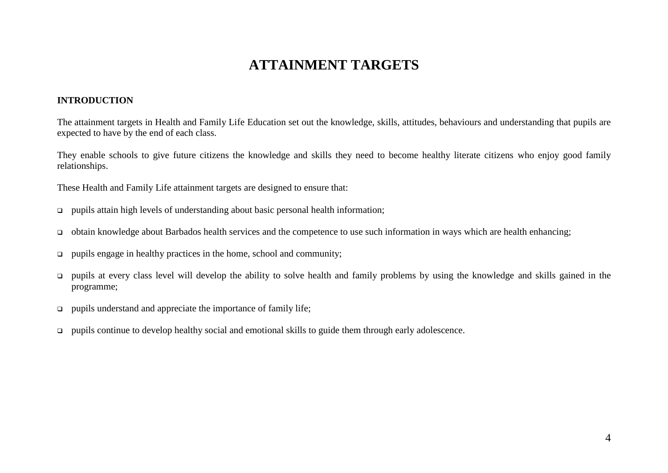## **ATTAINMENT TARGETS**

#### **INTRODUCTION**

The attainment targets in Health and Family Life Education set out the knowledge, skills, attitudes, behaviours and understanding that pupils are expected to have by the end of each class.

They enable schools to give future citizens the knowledge and skills they need to become healthy literate citizens who enjoy good family relationships.

These Health and Family Life attainment targets are designed to ensure that:

- pupils attain high levels of understanding about basic personal health information;
- obtain knowledge about Barbados health services and the competence to use such information in ways which are health enhancing;
- $\Box$  pupils engage in healthy practices in the home, school and community;
- pupils at every class level will develop the ability to solve health and family problems by using the knowledge and skills gained in the programme;
- $\Box$  pupils understand and appreciate the importance of family life;
- pupils continue to develop healthy social and emotional skills to guide them through early adolescence.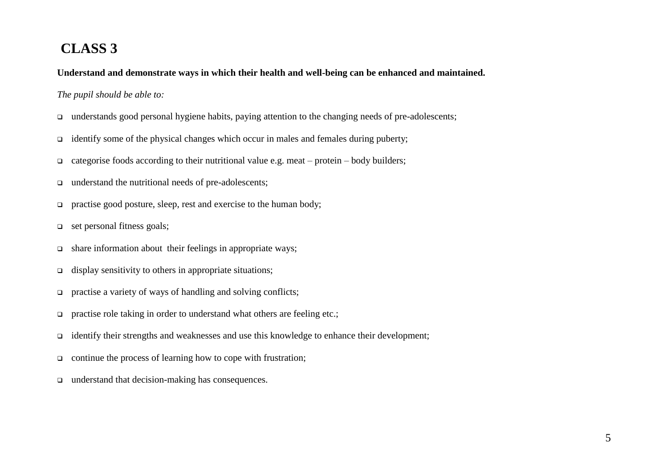# **CLASS 3**

**Understand and demonstrate ways in which their health and well-being can be enhanced and maintained.**

### *The pupil should be able to:*

- $\Box$  understands good personal hygiene habits, paying attention to the changing needs of pre-adolescents;
- identify some of the physical changes which occur in males and females during puberty;
- $\Box$  categorise foods according to their nutritional value e.g. meat protein body builders;
- □ understand the nutritional needs of pre-adolescents;
- $\Box$  practise good posture, sleep, rest and exercise to the human body;
- $\Box$  set personal fitness goals;
- share information about their feelings in appropriate ways;
- display sensitivity to others in appropriate situations;
- practise a variety of ways of handling and solving conflicts;
- **practise role taking in order to understand what others are feeling etc.;**
- identify their strengths and weaknesses and use this knowledge to enhance their development;
- $\Box$  continue the process of learning how to cope with frustration;
- understand that decision-making has consequences.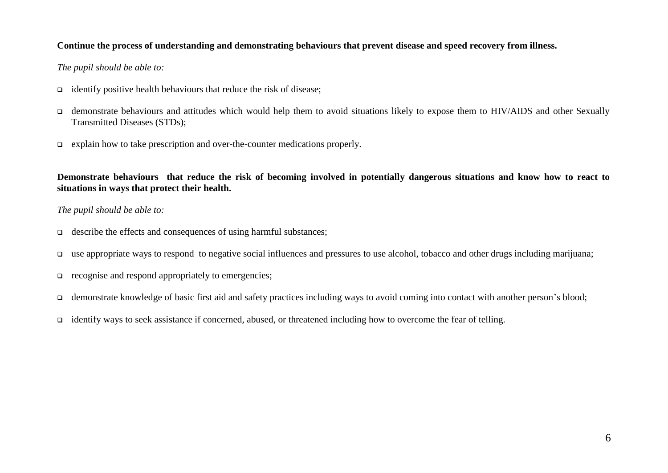### **Continue the process of understanding and demonstrating behaviours that prevent disease and speed recovery from illness.**

### *The pupil should be able to:*

- $\Box$  identify positive health behaviours that reduce the risk of disease;
- demonstrate behaviours and attitudes which would help them to avoid situations likely to expose them to HIV/AIDS and other Sexually Transmitted Diseases (STDs);
- explain how to take prescription and over-the-counter medications properly.

**Demonstrate behaviours that reduce the risk of becoming involved in potentially dangerous situations and know how to react to situations in ways that protect their health.**

#### *The pupil should be able to:*

- describe the effects and consequences of using harmful substances;
- use appropriate ways to respond to negative social influences and pressures to use alcohol, tobacco and other drugs including marijuana;
- $\Box$  recognise and respond appropriately to emergencies;
- □ demonstrate knowledge of basic first aid and safety practices including ways to avoid coming into contact with another person's blood;
- identify ways to seek assistance if concerned, abused, or threatened including how to overcome the fear of telling.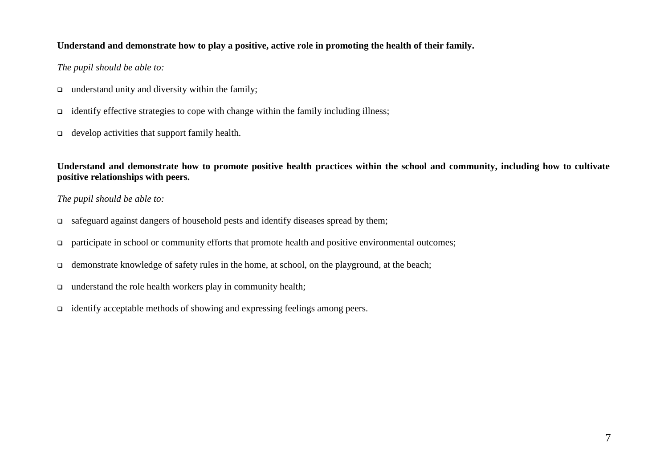### **Understand and demonstrate how to play a positive, active role in promoting the health of their family.**

### *The pupil should be able to:*

- $\Box$  understand unity and diversity within the family;
- $\Box$  identify effective strategies to cope with change within the family including illness;
- $\Box$  develop activities that support family health.

**Understand and demonstrate how to promote positive health practices within the school and community, including how to cultivate positive relationships with peers.**

### *The pupil should be able to:*

- safeguard against dangers of household pests and identify diseases spread by them;
- $\Box$  participate in school or community efforts that promote health and positive environmental outcomes;
- $\Box$  demonstrate knowledge of safety rules in the home, at school, on the playground, at the beach;
- understand the role health workers play in community health;
- identify acceptable methods of showing and expressing feelings among peers.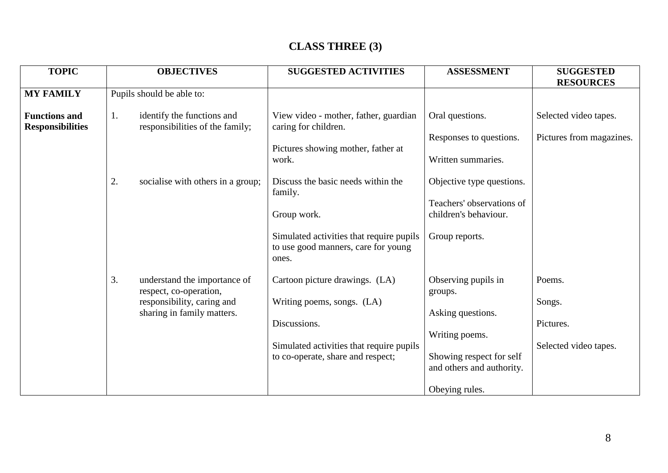## **CLASS THREE (3)**

| <b>TOPIC</b>                                    | <b>OBJECTIVES</b>                                                   | <b>SUGGESTED ACTIVITIES</b>                                                              | <b>ASSESSMENT</b>                                     | <b>SUGGESTED</b>         |
|-------------------------------------------------|---------------------------------------------------------------------|------------------------------------------------------------------------------------------|-------------------------------------------------------|--------------------------|
|                                                 |                                                                     |                                                                                          |                                                       | <b>RESOURCES</b>         |
| <b>MY FAMILY</b>                                | Pupils should be able to:                                           |                                                                                          |                                                       |                          |
| <b>Functions and</b><br><b>Responsibilities</b> | identify the functions and<br>1.<br>responsibilities of the family; | View video - mother, father, guardian<br>caring for children.                            | Oral questions.                                       | Selected video tapes.    |
|                                                 |                                                                     |                                                                                          | Responses to questions.                               | Pictures from magazines. |
|                                                 |                                                                     | Pictures showing mother, father at<br>work.                                              | Written summaries.                                    |                          |
|                                                 | 2.<br>socialise with others in a group;                             | Discuss the basic needs within the<br>family.                                            | Objective type questions.                             |                          |
|                                                 |                                                                     | Group work.                                                                              | Teachers' observations of<br>children's behaviour.    |                          |
|                                                 |                                                                     | Simulated activities that require pupils<br>to use good manners, care for young<br>ones. | Group reports.                                        |                          |
|                                                 | 3.<br>understand the importance of<br>respect, co-operation,        | Cartoon picture drawings. (LA)                                                           | Observing pupils in<br>groups.                        | Poems.                   |
|                                                 | responsibility, caring and<br>sharing in family matters.            | Writing poems, songs. (LA)                                                               | Asking questions.                                     | Songs.                   |
|                                                 |                                                                     | Discussions.                                                                             |                                                       | Pictures.                |
|                                                 |                                                                     |                                                                                          | Writing poems.                                        |                          |
|                                                 |                                                                     | Simulated activities that require pupils<br>to co-operate, share and respect;            | Showing respect for self<br>and others and authority. | Selected video tapes.    |
|                                                 |                                                                     |                                                                                          | Obeying rules.                                        |                          |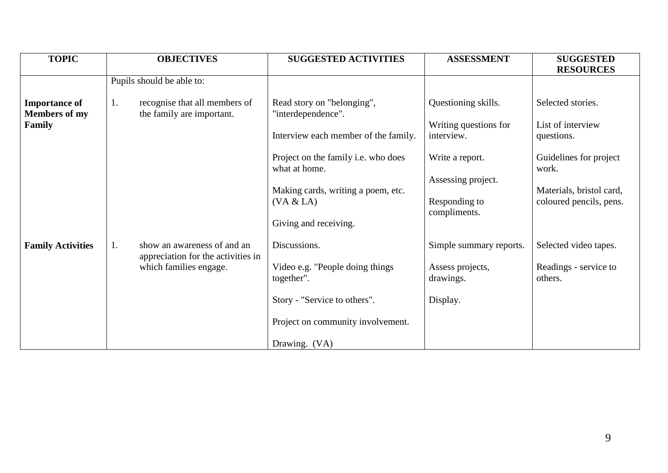| <b>TOPIC</b>                                 |    | <b>OBJECTIVES</b>                                                 | <b>SUGGESTED ACTIVITIES</b>                          | <b>ASSESSMENT</b>                                   | <b>SUGGESTED</b>                                    |
|----------------------------------------------|----|-------------------------------------------------------------------|------------------------------------------------------|-----------------------------------------------------|-----------------------------------------------------|
|                                              |    |                                                                   |                                                      |                                                     | <b>RESOURCES</b>                                    |
|                                              |    | Pupils should be able to:                                         |                                                      |                                                     |                                                     |
| <b>Importance of</b><br><b>Members of my</b> | 1. | recognise that all members of<br>the family are important.        | Read story on "belonging",<br>"interdependence".     | Questioning skills.                                 | Selected stories.                                   |
| Family                                       |    |                                                                   | Interview each member of the family.                 | Writing questions for<br>interview.                 | List of interview<br>questions.                     |
|                                              |    |                                                                   | Project on the family i.e. who does<br>what at home. | Write a report.                                     | Guidelines for project<br>work.                     |
|                                              |    |                                                                   | Making cards, writing a poem, etc.<br>(VA & LA)      | Assessing project.<br>Responding to<br>compliments. | Materials, bristol card,<br>coloured pencils, pens. |
|                                              |    |                                                                   | Giving and receiving.                                |                                                     |                                                     |
| <b>Family Activities</b>                     | 1. | show an awareness of and an<br>appreciation for the activities in | Discussions.                                         | Simple summary reports.                             | Selected video tapes.                               |
|                                              |    | which families engage.                                            | Video e.g. "People doing things<br>together".        | Assess projects,<br>drawings.                       | Readings - service to<br>others.                    |
|                                              |    |                                                                   | Story - "Service to others".                         | Display.                                            |                                                     |
|                                              |    |                                                                   | Project on community involvement.                    |                                                     |                                                     |
|                                              |    |                                                                   | Drawing. (VA)                                        |                                                     |                                                     |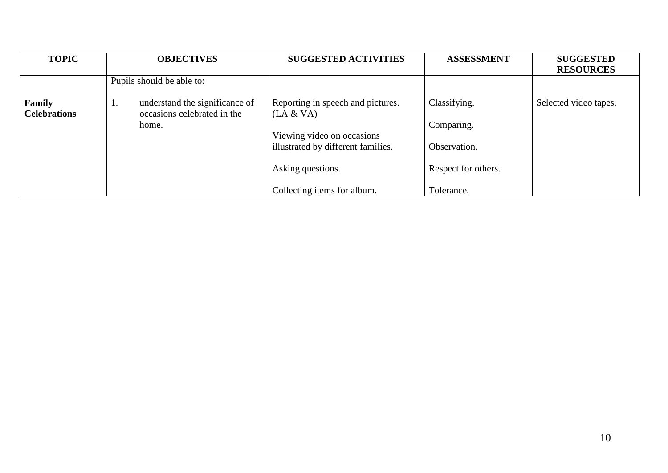| <b>TOPIC</b>                  | <b>OBJECTIVES</b>                                                   | <b>SUGGESTED ACTIVITIES</b>                                      | <b>ASSESSMENT</b>   | <b>SUGGESTED</b><br><b>RESOURCES</b> |
|-------------------------------|---------------------------------------------------------------------|------------------------------------------------------------------|---------------------|--------------------------------------|
|                               | Pupils should be able to:                                           |                                                                  |                     |                                      |
| Family<br><b>Celebrations</b> | understand the significance of<br>1.<br>occasions celebrated in the | Reporting in speech and pictures.<br>(LA & VA)                   | Classifying.        | Selected video tapes.                |
|                               | home.                                                               |                                                                  | Comparing.          |                                      |
|                               |                                                                     | Viewing video on occasions<br>illustrated by different families. | Observation.        |                                      |
|                               |                                                                     | Asking questions.                                                | Respect for others. |                                      |
|                               |                                                                     | Collecting items for album.                                      | Tolerance.          |                                      |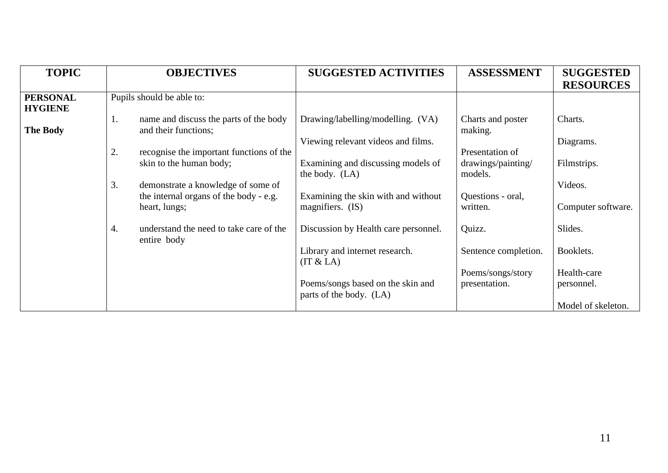| <b>TOPIC</b>                      | <b>OBJECTIVES</b>                                                                                   | <b>SUGGESTED ACTIVITIES</b>                                  | <b>ASSESSMENT</b>                  | <b>SUGGESTED</b><br><b>RESOURCES</b> |
|-----------------------------------|-----------------------------------------------------------------------------------------------------|--------------------------------------------------------------|------------------------------------|--------------------------------------|
| <b>PERSONAL</b><br><b>HYGIENE</b> | Pupils should be able to:                                                                           |                                                              |                                    |                                      |
| <b>The Body</b>                   | name and discuss the parts of the body<br>1.<br>and their functions;                                | Drawing/labelling/modelling. (VA)                            | Charts and poster<br>making.       | Charts.                              |
|                                   | 2.<br>recognise the important functions of the                                                      | Viewing relevant videos and films.                           | Presentation of                    | Diagrams.                            |
|                                   | skin to the human body;                                                                             | Examining and discussing models of<br>the body. $(LA)$       | drawings/painting/<br>models.      | Filmstrips.                          |
|                                   | 3.<br>demonstrate a knowledge of some of<br>the internal organs of the body - e.g.<br>heart, lungs; | Examining the skin with and without<br>magnifiers. (IS)      | Questions - oral,<br>written.      | Videos.<br>Computer software.        |
|                                   | understand the need to take care of the<br>4.<br>entire body                                        | Discussion by Health care personnel.                         | Quizz.                             | Slides.                              |
|                                   |                                                                                                     | Library and internet research.<br>(IT & LA)                  | Sentence completion.               | Booklets.                            |
|                                   |                                                                                                     | Poems/songs based on the skin and<br>parts of the body. (LA) | Poems/songs/story<br>presentation. | Health-care<br>personnel.            |
|                                   |                                                                                                     |                                                              |                                    | Model of skeleton.                   |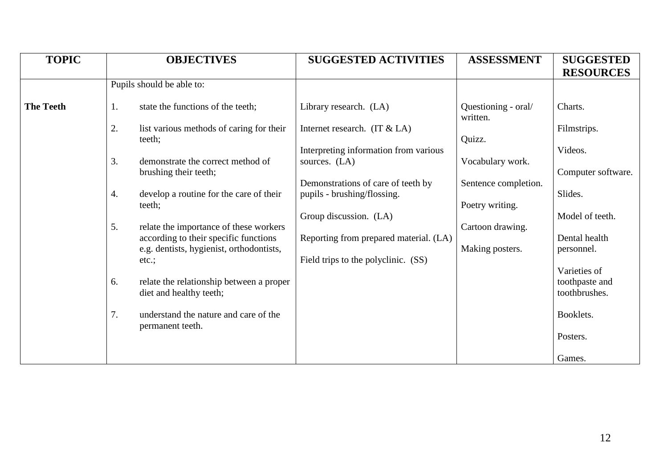| <b>TOPIC</b>     |    | <b>OBJECTIVES</b>                                                                 | <b>SUGGESTED ACTIVITIES</b>                            | <b>ASSESSMENT</b>               | <b>SUGGESTED</b><br><b>RESOURCES</b> |
|------------------|----|-----------------------------------------------------------------------------------|--------------------------------------------------------|---------------------------------|--------------------------------------|
|                  |    | Pupils should be able to:                                                         |                                                        |                                 |                                      |
| <b>The Teeth</b> | 1. | state the functions of the teeth;                                                 | Library research. (LA)                                 | Questioning - oral/<br>written. | Charts.                              |
|                  | 2. | list various methods of caring for their<br>teeth;                                | Internet research. $(IT & LA)$                         | Quizz.                          | Filmstrips.                          |
|                  | 3. | demonstrate the correct method of                                                 | Interpreting information from various<br>sources. (LA) | Vocabulary work.                | Videos.                              |
|                  |    | brushing their teeth;                                                             | Demonstrations of care of teeth by                     | Sentence completion.            | Computer software.                   |
|                  | 4. | develop a routine for the care of their<br>teeth;                                 | pupils - brushing/flossing.                            | Poetry writing.                 | Slides.                              |
|                  | 5. | relate the importance of these workers                                            | Group discussion. (LA)                                 | Cartoon drawing.                | Model of teeth.                      |
|                  |    | according to their specific functions<br>e.g. dentists, hygienist, orthodontists, | Reporting from prepared material. (LA)                 | Making posters.                 | Dental health<br>personnel.          |
|                  |    | $etc.$ ;                                                                          | Field trips to the polyclinic. (SS)                    |                                 | Varieties of                         |
|                  | 6. | relate the relationship between a proper<br>diet and healthy teeth;               |                                                        |                                 | toothpaste and<br>toothbrushes.      |
|                  | 7. | understand the nature and care of the                                             |                                                        |                                 | Booklets.                            |
|                  |    | permanent teeth.                                                                  |                                                        |                                 | Posters.                             |
|                  |    |                                                                                   |                                                        |                                 | Games.                               |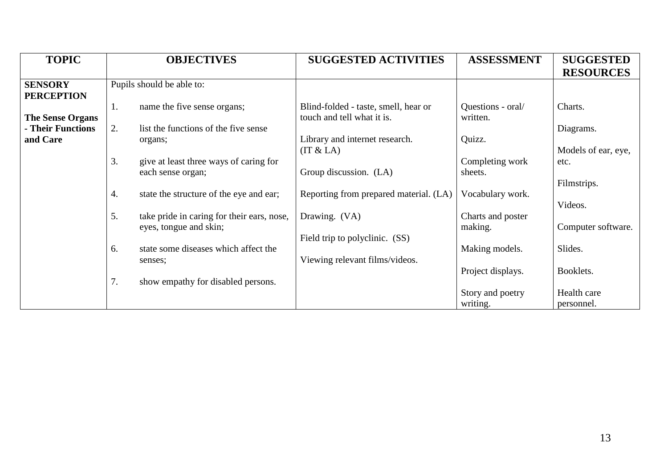| <b>RESOURCES</b>    |
|---------------------|
|                     |
|                     |
| Diagrams.           |
| Models of ear, eye, |
|                     |
| Filmstrips.         |
| Computer software.  |
|                     |
| Booklets.           |
| Health care         |
| personnel.          |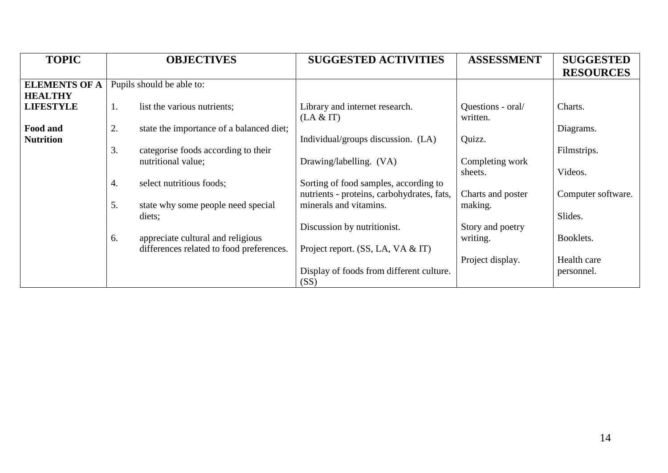| <b>TOPIC</b>         |    | <b>OBJECTIVES</b>                        | <b>SUGGESTED ACTIVITIES</b>                | <b>ASSESSMENT</b> | <b>SUGGESTED</b><br><b>RESOURCES</b> |
|----------------------|----|------------------------------------------|--------------------------------------------|-------------------|--------------------------------------|
| <b>ELEMENTS OF A</b> |    | Pupils should be able to:                |                                            |                   |                                      |
| <b>HEALTHY</b>       |    |                                          |                                            |                   |                                      |
| <b>LIFESTYLE</b>     | 1. | list the various nutrients;              | Library and internet research.             | Questions - oral/ | Charts.                              |
|                      |    |                                          | (LA & T)                                   | written.          |                                      |
| <b>Food and</b>      | 2. | state the importance of a balanced diet; |                                            |                   | Diagrams.                            |
| <b>Nutrition</b>     |    |                                          | Individual/groups discussion. (LA)         | Quizz.            |                                      |
|                      | 3. | categorise foods according to their      |                                            |                   | Filmstrips.                          |
|                      |    | nutritional value;                       | Drawing/labelling. (VA)                    | Completing work   |                                      |
|                      |    |                                          |                                            | sheets.           | Videos.                              |
|                      | 4. | select nutritious foods;                 | Sorting of food samples, according to      |                   |                                      |
|                      |    |                                          | nutrients - proteins, carbohydrates, fats, | Charts and poster | Computer software.                   |
|                      | 5. | state why some people need special       | minerals and vitamins.                     | making.           |                                      |
|                      |    | diets;                                   |                                            |                   | Slides.                              |
|                      |    |                                          | Discussion by nutritionist.                | Story and poetry  |                                      |
|                      | 6. | appreciate cultural and religious        |                                            | writing.          | Booklets.                            |
|                      |    | differences related to food preferences. | Project report. $(SS, LA, VA & T)$         |                   |                                      |
|                      |    |                                          |                                            | Project display.  | Health care                          |
|                      |    |                                          | Display of foods from different culture.   |                   | personnel.                           |
|                      |    |                                          | (SS)                                       |                   |                                      |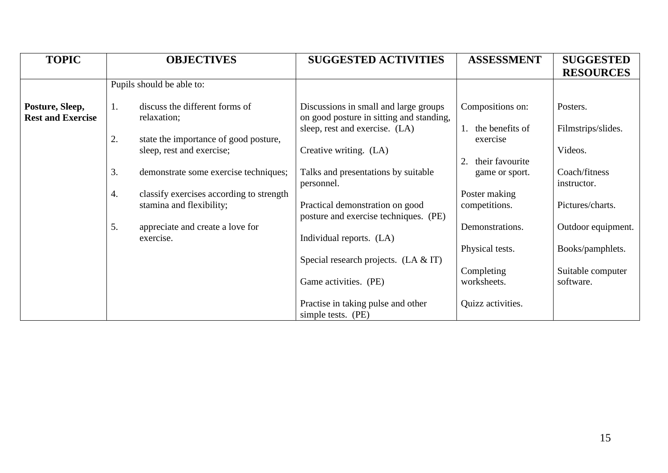| <b>TOPIC</b>                                |    | <b>OBJECTIVES</b>                                                    | <b>SUGGESTED ACTIVITIES</b>                                                       | <b>ASSESSMENT</b>              | <b>SUGGESTED</b><br><b>RESOURCES</b> |
|---------------------------------------------|----|----------------------------------------------------------------------|-----------------------------------------------------------------------------------|--------------------------------|--------------------------------------|
|                                             |    | Pupils should be able to:                                            |                                                                                   |                                |                                      |
| Posture, Sleep,<br><b>Rest and Exercise</b> | 1. | discuss the different forms of<br>relaxation;                        | Discussions in small and large groups<br>on good posture in sitting and standing, | Compositions on:               | Posters.                             |
|                                             | 2. | state the importance of good posture,                                | sleep, rest and exercise. (LA)                                                    | the benefits of<br>exercise    | Filmstrips/slides.                   |
|                                             |    | sleep, rest and exercise;                                            | Creative writing. (LA)                                                            | their favourite<br>2.          | Videos.                              |
|                                             | 3. | demonstrate some exercise techniques;                                | Talks and presentations by suitable<br>personnel.                                 | game or sport.                 | Coach/fitness<br>instructor.         |
|                                             | 4. | classify exercises according to strength<br>stamina and flexibility; | Practical demonstration on good<br>posture and exercise techniques. (PE)          | Poster making<br>competitions. | Pictures/charts.                     |
|                                             | 5. | appreciate and create a love for<br>exercise.                        | Individual reports. (LA)                                                          | Demonstrations.                | Outdoor equipment.                   |
|                                             |    |                                                                      | Special research projects. $(LA & T)$                                             | Physical tests.                | Books/pamphlets.                     |
|                                             |    |                                                                      | Game activities. (PE)                                                             | Completing<br>worksheets.      | Suitable computer<br>software.       |
|                                             |    |                                                                      | Practise in taking pulse and other<br>simple tests. (PE)                          | Quizz activities.              |                                      |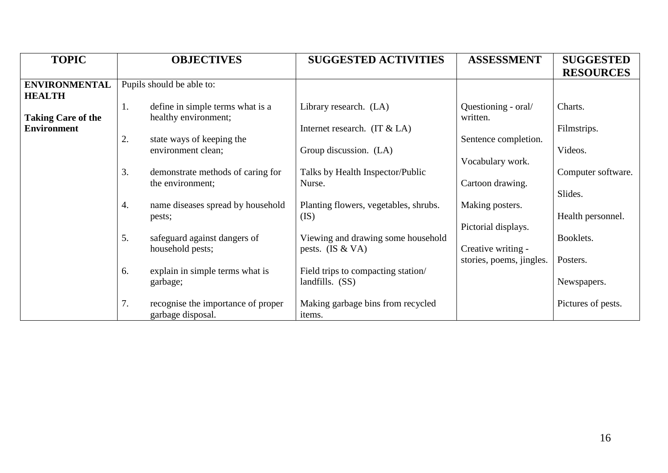| <b>TOPIC</b>                          | <b>OBJECTIVES</b>                                              | <b>SUGGESTED ACTIVITIES</b>                 | <b>ASSESSMENT</b>               | <b>SUGGESTED</b>   |
|---------------------------------------|----------------------------------------------------------------|---------------------------------------------|---------------------------------|--------------------|
|                                       |                                                                |                                             |                                 | <b>RESOURCES</b>   |
| <b>ENVIRONMENTAL</b><br><b>HEALTH</b> | Pupils should be able to:                                      |                                             |                                 |                    |
| <b>Taking Care of the</b>             | define in simple terms what is a<br>1.<br>healthy environment; | Library research. (LA)                      | Questioning - oral/<br>written. | Charts.            |
| <b>Environment</b>                    |                                                                | Internet research. $(T \& LA)$              |                                 | Filmstrips.        |
|                                       | 2.<br>state ways of keeping the<br>environment clean;          | Group discussion. (LA)                      | Sentence completion.            | Videos.            |
|                                       | 3.                                                             | Talks by Health Inspector/Public            | Vocabulary work.                | Computer software. |
|                                       | demonstrate methods of caring for<br>the environment;          | Nurse.                                      | Cartoon drawing.                |                    |
|                                       | name diseases spread by household<br>4.                        | Planting flowers, vegetables, shrubs.       | Making posters.                 | Slides.            |
|                                       | pests;                                                         | (IS)                                        |                                 | Health personnel.  |
|                                       | 5.<br>safeguard against dangers of                             | Viewing and drawing some household          | Pictorial displays.             | Booklets.          |
|                                       | household pests;                                               | pests. $(IS & VA)$                          | Creative writing -              |                    |
|                                       | explain in simple terms what is<br>6.                          | Field trips to compacting station/          | stories, poems, jingles.        | Posters.           |
|                                       | garbage;                                                       | landfills. $(SS)$                           |                                 | Newspapers.        |
|                                       | 7.<br>recognise the importance of proper<br>garbage disposal.  | Making garbage bins from recycled<br>items. |                                 | Pictures of pests. |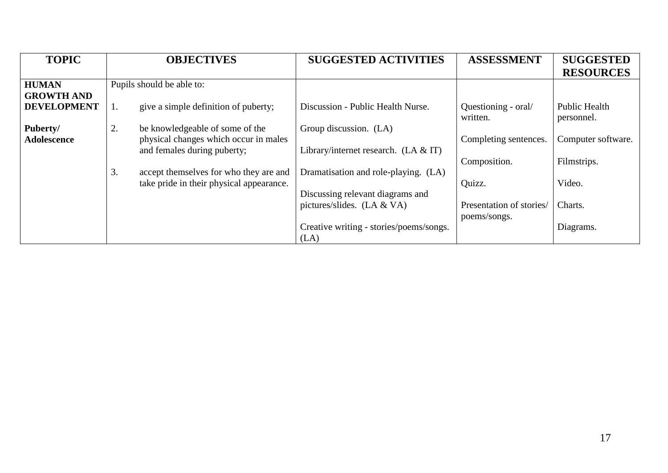| <b>TOPIC</b>       | <b>OBJECTIVES</b>                            | <b>SUGGESTED ACTIVITIES</b>             | <b>ASSESSMENT</b>        | <b>SUGGESTED</b>     |
|--------------------|----------------------------------------------|-----------------------------------------|--------------------------|----------------------|
|                    |                                              |                                         |                          | <b>RESOURCES</b>     |
| <b>HUMAN</b>       | Pupils should be able to:                    |                                         |                          |                      |
| <b>GROWTH AND</b>  |                                              |                                         |                          |                      |
| <b>DEVELOPMENT</b> | give a simple definition of puberty;<br>1.   | Discussion - Public Health Nurse.       | Questioning - oral/      | <b>Public Health</b> |
|                    |                                              |                                         | written.                 | personnel.           |
| Puberty/           | 2.<br>be knowledgeable of some of the        | Group discussion. (LA)                  |                          |                      |
| <b>Adolescence</b> | physical changes which occur in males        |                                         | Completing sentences.    | Computer software.   |
|                    | and females during puberty;                  | Library/internet research. $(LA & T)$   |                          |                      |
|                    |                                              |                                         | Composition.             | Filmstrips.          |
|                    | 3.<br>accept themselves for who they are and | Dramatisation and role-playing. (LA)    |                          |                      |
|                    | take pride in their physical appearance.     |                                         | Quizz.                   | Video.               |
|                    |                                              | Discussing relevant diagrams and        |                          |                      |
|                    |                                              | pictures/slides. $(LA & VA)$            | Presentation of stories/ | Charts.              |
|                    |                                              |                                         | poems/songs.             |                      |
|                    |                                              | Creative writing - stories/poems/songs. |                          | Diagrams.            |
|                    |                                              | (LA)                                    |                          |                      |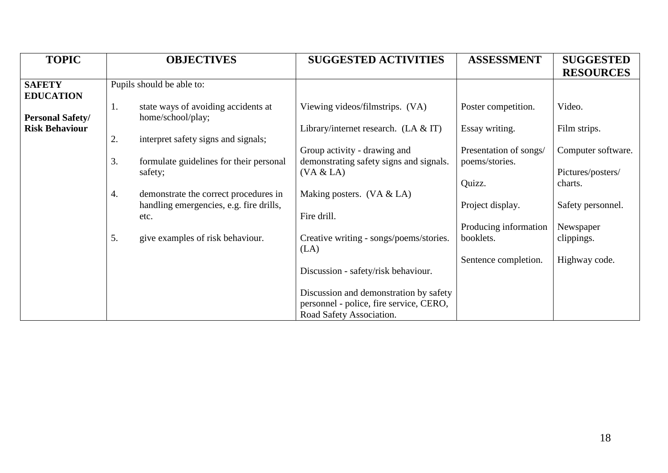| <b>TOPIC</b>                      | <b>OBJECTIVES</b>                                              | <b>SUGGESTED ACTIVITIES</b>                                             | <b>ASSESSMENT</b>                        | <b>SUGGESTED</b>   |
|-----------------------------------|----------------------------------------------------------------|-------------------------------------------------------------------------|------------------------------------------|--------------------|
|                                   |                                                                |                                                                         |                                          | <b>RESOURCES</b>   |
| <b>SAFETY</b><br><b>EDUCATION</b> | Pupils should be able to:                                      |                                                                         |                                          |                    |
| <b>Personal Safety/</b>           | state ways of avoiding accidents at<br>1.<br>home/school/play; | Viewing videos/filmstrips. (VA)                                         | Poster competition.                      | Video.             |
| <b>Risk Behaviour</b>             | 2.<br>interpret safety signs and signals;                      | Library/internet research. $(LA & T)$                                   | Essay writing.                           | Film strips.       |
|                                   | 3.<br>formulate guidelines for their personal                  | Group activity - drawing and<br>demonstrating safety signs and signals. | Presentation of songs/<br>poems/stories. | Computer software. |
|                                   | safety;                                                        | (VA & LA)                                                               |                                          | Pictures/posters/  |
|                                   | demonstrate the correct procedures in<br>4.                    | Making posters. $(VA & LA)$                                             | Quizz.                                   | charts.            |
|                                   | handling emergencies, e.g. fire drills,<br>etc.                | Fire drill.                                                             | Project display.                         | Safety personnel.  |
|                                   |                                                                |                                                                         | Producing information                    | Newspaper          |
|                                   | 5.<br>give examples of risk behaviour.                         | Creative writing - songs/poems/stories.<br>(LA)                         | booklets.                                | clippings.         |
|                                   |                                                                |                                                                         | Sentence completion.                     | Highway code.      |
|                                   |                                                                | Discussion - safety/risk behaviour.                                     |                                          |                    |
|                                   |                                                                | Discussion and demonstration by safety                                  |                                          |                    |
|                                   |                                                                | personnel - police, fire service, CERO,<br>Road Safety Association.     |                                          |                    |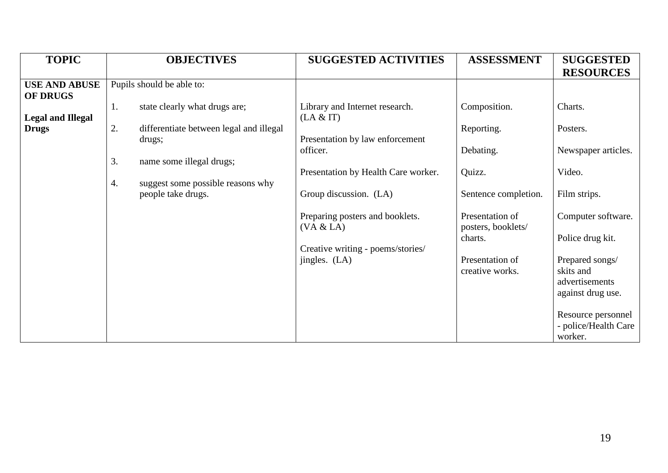|                                                                                     | <b>OBJECTIVES</b>                                                                                                                                                                                                              | <b>SUGGESTED ACTIVITIES</b>                                                                                                                                                                                                                                      | <b>ASSESSMENT</b>                                                                                                                                                   | <b>SUGGESTED</b>                                                                                                                                                                     |
|-------------------------------------------------------------------------------------|--------------------------------------------------------------------------------------------------------------------------------------------------------------------------------------------------------------------------------|------------------------------------------------------------------------------------------------------------------------------------------------------------------------------------------------------------------------------------------------------------------|---------------------------------------------------------------------------------------------------------------------------------------------------------------------|--------------------------------------------------------------------------------------------------------------------------------------------------------------------------------------|
| <b>USE AND ABUSE</b><br><b>OF DRUGS</b><br><b>Legal and Illegal</b><br><b>Drugs</b> | Pupils should be able to:<br>state clearly what drugs are;<br>1.<br>2.<br>differentiate between legal and illegal<br>drugs;<br>3.<br>name some illegal drugs;<br>suggest some possible reasons why<br>4.<br>people take drugs. | Library and Internet research.<br>(LA & T)<br>Presentation by law enforcement<br>officer.<br>Presentation by Health Care worker.<br>Group discussion. (LA)<br>Preparing posters and booklets.<br>(VA & LA)<br>Creative writing - poems/stories/<br>jingles. (LA) | Composition.<br>Reporting.<br>Debating.<br>Quizz.<br>Sentence completion.<br>Presentation of<br>posters, booklets/<br>charts.<br>Presentation of<br>creative works. | <b>RESOURCES</b><br>Charts.<br>Posters.<br>Newspaper articles.<br>Video.<br>Film strips.<br>Computer software.<br>Police drug kit.<br>Prepared songs/<br>skits and<br>advertisements |
|                                                                                     |                                                                                                                                                                                                                                |                                                                                                                                                                                                                                                                  |                                                                                                                                                                     | against drug use.<br>Resource personnel<br>- police/Health Care<br>worker.                                                                                                           |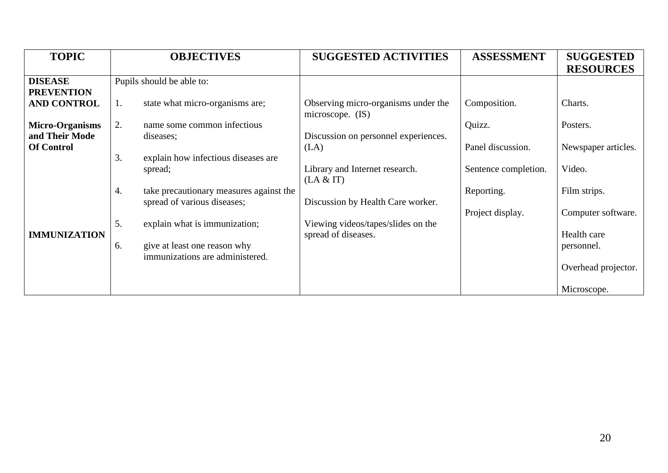| <b>TOPIC</b>           | <b>OBJECTIVES</b>                             | <b>SUGGESTED ACTIVITIES</b>          | <b>ASSESSMENT</b>    | <b>SUGGESTED</b>    |
|------------------------|-----------------------------------------------|--------------------------------------|----------------------|---------------------|
|                        |                                               |                                      |                      | <b>RESOURCES</b>    |
| <b>DISEASE</b>         | Pupils should be able to:                     |                                      |                      |                     |
| <b>PREVENTION</b>      |                                               |                                      |                      |                     |
| <b>AND CONTROL</b>     | state what micro-organisms are;<br>1.         | Observing micro-organisms under the  | Composition.         | Charts.             |
|                        |                                               | microscope. (IS)                     |                      |                     |
| <b>Micro-Organisms</b> | 2.<br>name some common infectious             |                                      | Quizz.               | Posters.            |
| and Their Mode         | diseases;                                     | Discussion on personnel experiences. |                      |                     |
| <b>Of Control</b>      |                                               | (LA)                                 | Panel discussion.    | Newspaper articles. |
|                        | 3.<br>explain how infectious diseases are     |                                      |                      |                     |
|                        | spread;                                       | Library and Internet research.       | Sentence completion. | Video.              |
|                        |                                               | (LA & T)                             |                      |                     |
|                        | 4.<br>take precautionary measures against the |                                      | Reporting.           | Film strips.        |
|                        | spread of various diseases;                   | Discussion by Health Care worker.    |                      |                     |
|                        |                                               |                                      | Project display.     | Computer software.  |
|                        | 5.<br>explain what is immunization;           | Viewing videos/tapes/slides on the   |                      |                     |
| <b>IMMUNIZATION</b>    |                                               | spread of diseases.                  |                      | Health care         |
|                        | give at least one reason why<br>6.            |                                      |                      | personnel.          |
|                        | immunizations are administered.               |                                      |                      |                     |
|                        |                                               |                                      |                      | Overhead projector. |
|                        |                                               |                                      |                      |                     |
|                        |                                               |                                      |                      | Microscope.         |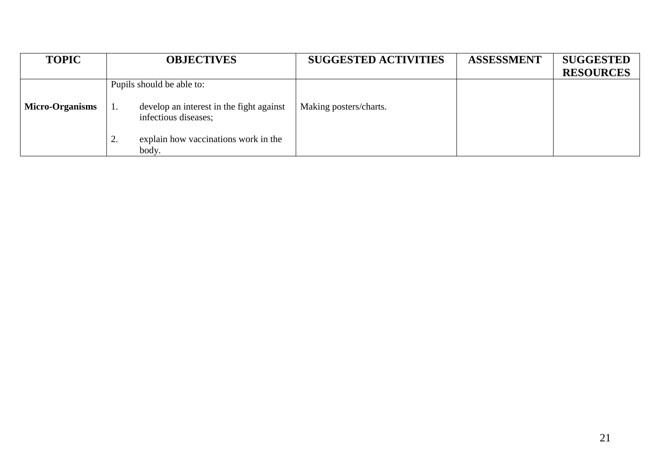| <b>TOPIC</b>           | <b>OBJECTIVES</b>                                                      | <b>SUGGESTED ACTIVITIES</b> | <b>ASSESSMENT</b> | <b>SUGGESTED</b> |
|------------------------|------------------------------------------------------------------------|-----------------------------|-------------------|------------------|
|                        |                                                                        |                             |                   | <b>RESOURCES</b> |
|                        | Pupils should be able to:                                              |                             |                   |                  |
| <b>Micro-Organisms</b> | develop an interest in the fight against<br>1.<br>infectious diseases; | Making posters/charts.      |                   |                  |
|                        | explain how vaccinations work in the<br>٠.<br>body.                    |                             |                   |                  |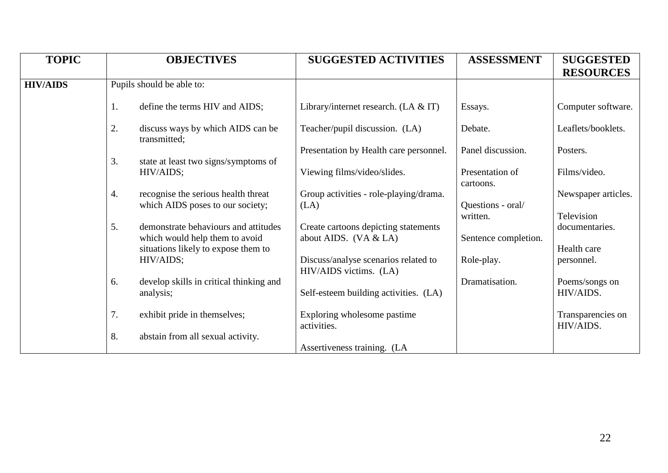| <b>TOPIC</b>    |                  | <b>OBJECTIVES</b>                                                     | <b>SUGGESTED ACTIVITIES</b>                                    | <b>ASSESSMENT</b>             | <b>SUGGESTED</b>               |
|-----------------|------------------|-----------------------------------------------------------------------|----------------------------------------------------------------|-------------------------------|--------------------------------|
|                 |                  |                                                                       |                                                                |                               | <b>RESOURCES</b>               |
| <b>HIV/AIDS</b> |                  | Pupils should be able to:                                             |                                                                |                               |                                |
|                 | 1.               | define the terms HIV and AIDS;                                        | Library/internet research. $(LA & T)$                          | Essays.                       | Computer software.             |
|                 | 2.               | discuss ways by which AIDS can be<br>transmitted;                     | Teacher/pupil discussion. (LA)                                 | Debate.                       | Leaflets/booklets.             |
|                 |                  |                                                                       | Presentation by Health care personnel.                         | Panel discussion.             | Posters.                       |
|                 | 3.               | state at least two signs/symptoms of<br>HIV/AIDS;                     | Viewing films/video/slides.                                    | Presentation of<br>cartoons.  | Films/video.                   |
|                 | $\overline{4}$ . | recognise the serious health threat                                   | Group activities - role-playing/drama.                         |                               | Newspaper articles.            |
|                 |                  | which AIDS poses to our society;                                      | (LA)                                                           | Questions - oral/<br>written. | Television                     |
|                 | 5.               | demonstrate behaviours and attitudes                                  | Create cartoons depicting statements                           |                               | documentaries.                 |
|                 |                  | which would help them to avoid<br>situations likely to expose them to | about AIDS. $(VA & LA)$                                        | Sentence completion.          | Health care                    |
|                 |                  | HIV/AIDS;                                                             | Discuss/analyse scenarios related to<br>HIV/AIDS victims. (LA) | Role-play.                    | personnel.                     |
|                 | 6.               | develop skills in critical thinking and                               |                                                                | Dramatisation.                | Poems/songs on                 |
|                 |                  | analysis;                                                             | Self-esteem building activities. (LA)                          |                               | HIV/AIDS.                      |
|                 | 7.               | exhibit pride in themselves;                                          | Exploring wholesome pastime<br>activities.                     |                               | Transparencies on<br>HIV/AIDS. |
|                 | 8.               | abstain from all sexual activity.                                     |                                                                |                               |                                |
|                 |                  |                                                                       | Assertiveness training. (LA                                    |                               |                                |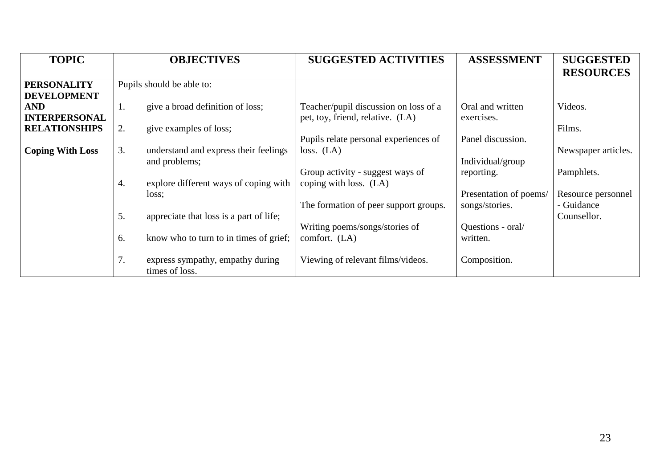| <b>TOPIC</b>            | <b>OBJECTIVES</b>                                        | <b>SUGGESTED ACTIVITIES</b>           | <b>ASSESSMENT</b>      | <b>SUGGESTED</b>    |
|-------------------------|----------------------------------------------------------|---------------------------------------|------------------------|---------------------|
|                         |                                                          |                                       |                        | <b>RESOURCES</b>    |
| <b>PERSONALITY</b>      | Pupils should be able to:                                |                                       |                        |                     |
| <b>DEVELOPMENT</b>      |                                                          |                                       |                        |                     |
| <b>AND</b>              | give a broad definition of loss;<br>1.                   | Teacher/pupil discussion on loss of a | Oral and written       | Videos.             |
| <b>INTERPERSONAL</b>    |                                                          | pet, toy, friend, relative. (LA)      | exercises.             |                     |
| <b>RELATIONSHIPS</b>    | 2.<br>give examples of loss;                             |                                       |                        | Films.              |
|                         |                                                          | Pupils relate personal experiences of | Panel discussion.      |                     |
| <b>Coping With Loss</b> | 3.<br>understand and express their feelings              | loss. (LA)                            |                        | Newspaper articles. |
|                         | and problems;                                            |                                       | Individual/group       |                     |
|                         |                                                          | Group activity - suggest ways of      | reporting.             | Pamphlets.          |
|                         | explore different ways of coping with<br>4.              | coping with loss. (LA)                |                        |                     |
|                         | loss;                                                    |                                       | Presentation of poems/ | Resource personnel  |
|                         |                                                          | The formation of peer support groups. | songs/stories.         | - Guidance          |
|                         | 5.<br>appreciate that loss is a part of life;            |                                       |                        | Counsellor.         |
|                         |                                                          | Writing poems/songs/stories of        | Questions - oral/      |                     |
|                         | 6.<br>know who to turn to in times of grief;             | comfort. (LA)                         | written.               |                     |
|                         |                                                          |                                       |                        |                     |
|                         | 7.<br>express sympathy, empathy during<br>times of loss. | Viewing of relevant films/videos.     | Composition.           |                     |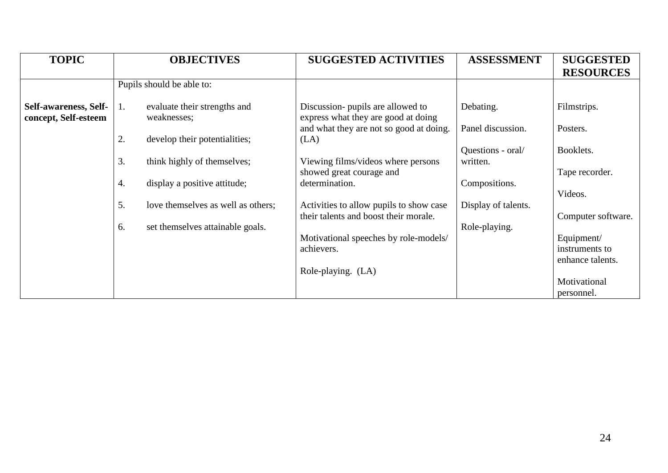| <b>TOPIC</b>                                  | <b>OBJECTIVES</b>                                 | <b>SUGGESTED ACTIVITIES</b>                                              | <b>ASSESSMENT</b>   | <b>SUGGESTED</b><br><b>RESOURCES</b> |
|-----------------------------------------------|---------------------------------------------------|--------------------------------------------------------------------------|---------------------|--------------------------------------|
|                                               | Pupils should be able to:                         |                                                                          |                     |                                      |
| Self-awareness, Self-<br>concept, Self-esteem | evaluate their strengths and<br>1.<br>weaknesses; | Discussion- pupils are allowed to<br>express what they are good at doing | Debating.           | Filmstrips.                          |
|                                               | 2.<br>develop their potentialities;               | and what they are not so good at doing.<br>(LA)                          | Panel discussion.   | Posters.                             |
|                                               |                                                   |                                                                          | Questions - oral/   | Booklets.                            |
|                                               | 3.<br>think highly of themselves;                 | Viewing films/videos where persons<br>showed great courage and           | written.            | Tape recorder.                       |
|                                               | 4.<br>display a positive attitude;                | determination.                                                           | Compositions.       | Videos.                              |
|                                               | 5.<br>love themselves as well as others;          | Activities to allow pupils to show case                                  | Display of talents. |                                      |
|                                               | 6.<br>set themselves attainable goals.            | their talents and boost their morale.                                    | Role-playing.       | Computer software.                   |
|                                               |                                                   | Motivational speeches by role-models/<br>achievers.                      |                     | Equipment/                           |
|                                               |                                                   |                                                                          |                     | instruments to<br>enhance talents.   |
|                                               |                                                   | Role-playing. (LA)                                                       |                     |                                      |
|                                               |                                                   |                                                                          |                     | Motivational<br>personnel.           |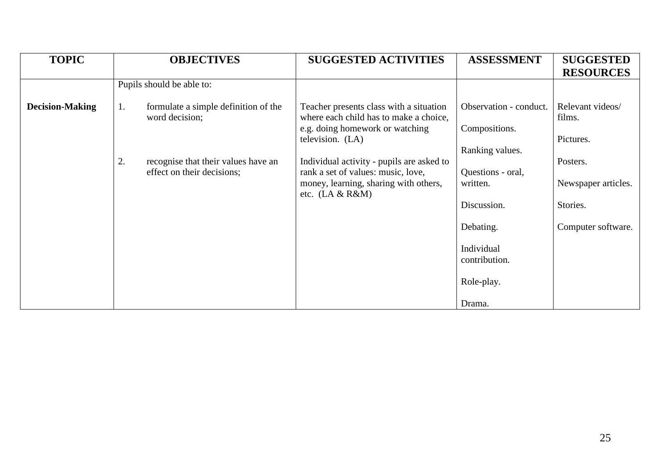| <b>TOPIC</b>           | <b>OBJECTIVES</b>                                                       | <b>SUGGESTED ACTIVITIES</b>                                                                                                                   | <b>ASSESSMENT</b>                                          | <b>SUGGESTED</b><br><b>RESOURCES</b>    |
|------------------------|-------------------------------------------------------------------------|-----------------------------------------------------------------------------------------------------------------------------------------------|------------------------------------------------------------|-----------------------------------------|
|                        | Pupils should be able to:                                               |                                                                                                                                               |                                                            |                                         |
| <b>Decision-Making</b> | 1.<br>formulate a simple definition of the<br>word decision;            | Teacher presents class with a situation<br>where each child has to make a choice,<br>e.g. doing homework or watching<br>television. (LA)      | Observation - conduct.<br>Compositions.<br>Ranking values. | Relevant videos/<br>films.<br>Pictures. |
|                        | 2.<br>recognise that their values have an<br>effect on their decisions; | Individual activity - pupils are asked to<br>rank a set of values: music, love,<br>money, learning, sharing with others,<br>etc. $(LA & R&N)$ | Questions - oral,<br>written.                              | Posters.<br>Newspaper articles.         |
|                        |                                                                         |                                                                                                                                               | Discussion.<br>Debating.                                   | Stories.<br>Computer software.          |
|                        |                                                                         |                                                                                                                                               | Individual<br>contribution.                                |                                         |
|                        |                                                                         |                                                                                                                                               | Role-play.                                                 |                                         |
|                        |                                                                         |                                                                                                                                               | Drama.                                                     |                                         |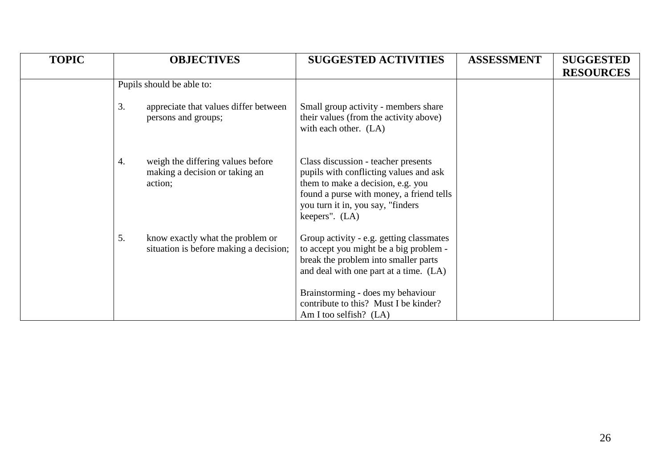| <b>TOPIC</b> | <b>OBJECTIVES</b>                                                                    | <b>SUGGESTED ACTIVITIES</b>                                                                                                                                                                                                                                                    | <b>ASSESSMENT</b> | <b>SUGGESTED</b><br><b>RESOURCES</b> |
|--------------|--------------------------------------------------------------------------------------|--------------------------------------------------------------------------------------------------------------------------------------------------------------------------------------------------------------------------------------------------------------------------------|-------------------|--------------------------------------|
|              | Pupils should be able to:                                                            |                                                                                                                                                                                                                                                                                |                   |                                      |
|              | 3.<br>appreciate that values differ between<br>persons and groups;                   | Small group activity - members share<br>their values (from the activity above)<br>with each other. (LA)                                                                                                                                                                        |                   |                                      |
|              | weigh the differing values before<br>4.<br>making a decision or taking an<br>action; | Class discussion - teacher presents<br>pupils with conflicting values and ask<br>them to make a decision, e.g. you<br>found a purse with money, a friend tells<br>you turn it in, you say, "finders<br>keepers". (LA)                                                          |                   |                                      |
|              | 5.<br>know exactly what the problem or<br>situation is before making a decision;     | Group activity - e.g. getting classmates<br>to accept you might be a big problem -<br>break the problem into smaller parts<br>and deal with one part at a time. (LA)<br>Brainstorming - does my behaviour<br>contribute to this? Must I be kinder?<br>Am I too selfish? $(LA)$ |                   |                                      |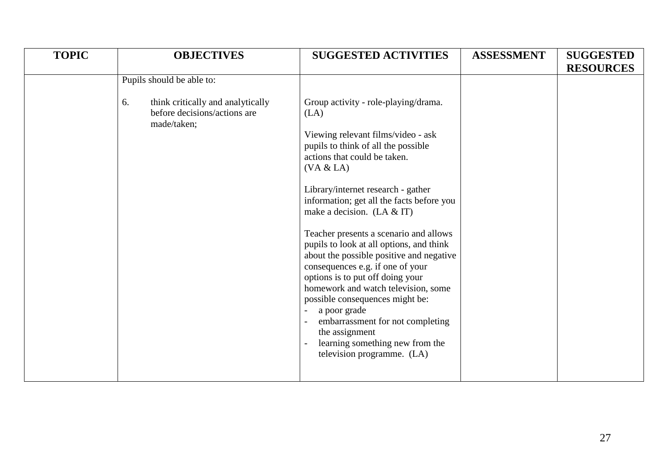| <b>TOPIC</b> | <b>OBJECTIVES</b>                                                                                                   | <b>SUGGESTED ACTIVITIES</b>                                                                                                                                                                                                                                                           | <b>ASSESSMENT</b> | <b>SUGGESTED</b> |
|--------------|---------------------------------------------------------------------------------------------------------------------|---------------------------------------------------------------------------------------------------------------------------------------------------------------------------------------------------------------------------------------------------------------------------------------|-------------------|------------------|
|              | Pupils should be able to:<br>think critically and analytically<br>6.<br>before decisions/actions are<br>made/taken; | Group activity - role-playing/drama.<br>(LA)<br>Viewing relevant films/video - ask<br>pupils to think of all the possible<br>actions that could be taken.                                                                                                                             |                   | <b>RESOURCES</b> |
|              |                                                                                                                     | (VA & LA)<br>Library/internet research - gather<br>information; get all the facts before you<br>make a decision. (LA $&$ IT)<br>Teacher presents a scenario and allows<br>pupils to look at all options, and think<br>about the possible positive and negative                        |                   |                  |
|              |                                                                                                                     | consequences e.g. if one of your<br>options is to put off doing your<br>homework and watch television, some<br>possible consequences might be:<br>a poor grade<br>embarrassment for not completing<br>the assignment<br>learning something new from the<br>television programme. (LA) |                   |                  |